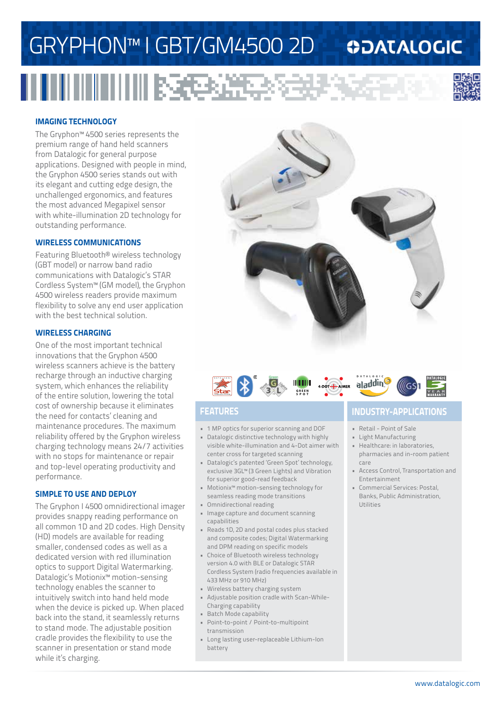# GRYPHON™ I GBT/GM4500 2D

# 



**ODATALOGIC** 

#### **IMAGING TECHNOLOGY**

The Gryphon™ 4500 series represents the premium range of hand held scanners from Datalogic for general purpose applications. Designed with people in mind, the Gryphon 4500 series stands out with its elegant and cutting edge design, the unchallenged ergonomics, and features the most advanced Megapixel sensor with white-illumination 2D technology for outstanding performance.

#### **WIRELESS COMMUNICATIONS**

Featuring Bluetooth® wireless technology (GBT model) or narrow band radio communications with Datalogic's STAR Cordless System™ (GM model), the Gryphon 4500 wireless readers provide maximum flexibility to solve any end user application with the best technical solution.

#### **WIRELESS CHARGING**

One of the most important technical innovations that the Gryphon 4500 wireless scanners achieve is the battery recharge through an inductive charging system, which enhances the reliability of the entire solution, lowering the total cost of ownership because it eliminates the need for contacts' cleaning and maintenance procedures. The maximum reliability offered by the Gryphon wireless charging technology means 24/7 activities with no stops for maintenance or repair and top-level operating productivity and performance.

#### **SIMPLE TO USE AND DEPLOY**

The Gryphon I 4500 omnidirectional imager provides snappy reading performance on all common 1D and 2D codes. High Density (HD) models are available for reading smaller, condensed codes as well as a dedicated version with red illumination optics to support Digital Watermarking. Datalogic's Motionix™ motion-sensing technology enables the scanner to intuitively switch into hand held mode when the device is picked up. When placed back into the stand, it seamlessly returns to stand mode. The adjustable position cradle provides the flexibility to use the scanner in presentation or stand mode while it's charging.





- 1 MP optics for superior scanning and DOF
- Datalogic distinctive technology with highly visible white-illumination and 4-Dot aimer with center cross for targeted scanning
- Datalogic's patented 'Green Spot' technology, exclusive 3GL™ (3 Green Lights) and Vibration for superior good-read feedback
- Motionix™ motion-sensing technology for seamless reading mode transitions
- Omnidirectional reading
- Image capture and document scanning capabilities
- Reads 1D, 2D and postal codes plus stacked and composite codes; Digital Watermarking and DPM reading on specific models
- Choice of Bluetooth wireless technology version 4.0 with BLE or Datalogic STAR Cordless System (radio frequencies available in 433 MHz or 910 MHz)
- Wireless battery charging system
- Adjustable position cradle with Scan-While-Charging capability
- Batch Mode capability
- Point-to-point / Point-to-multipoint transmission
- Long lasting user-replaceable Lithium-Ion battery

### **FEATURES INDUSTRY-APPLICATIONS**

- Retail Point of Sale
- Light Manufacturing
- Healthcare: in laboratories, pharmacies and in-room patient care
- Access Control, Transportation and Entertainment
- Commercial Services: Postal, Banks, Public Administration, Utilities